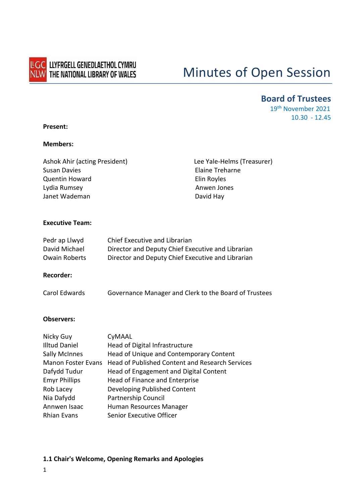

# Minutes of Open Session

# **Board of Trustees**

19<sup>th</sup> November 2021 10.30 - 12.45

#### **Present:**

## **Members:**

| Ashok Ahir (acting President) | Lee Yale-Helms (Treasurer) |
|-------------------------------|----------------------------|
| Susan Davies                  | Elaine Treharne            |
| Quentin Howard                | Elin Royles                |
| Lydia Rumsey                  | Anwen Jones                |
| Janet Wademan                 | David Hay                  |

#### **Executive Team:**

| Pedr ap Llwyd        | Chief Executive and Librarian                     |
|----------------------|---------------------------------------------------|
| David Michael        | Director and Deputy Chief Executive and Librarian |
| <b>Owain Roberts</b> | Director and Deputy Chief Executive and Librarian |

#### **Recorder:**

| Carol Edwards | Governance Manager and Clerk to the Board of Trustees |
|---------------|-------------------------------------------------------|
|---------------|-------------------------------------------------------|

#### **Observers:**

| CyMAAL                                          |
|-------------------------------------------------|
| Head of Digital Infrastructure                  |
| Head of Unique and Contemporary Content         |
| Head of Published Content and Research Services |
| Head of Engagement and Digital Content          |
| Head of Finance and Enterprise                  |
| Developing Published Content                    |
| Partnership Council                             |
| Human Resources Manager                         |
| Senior Executive Officer                        |
|                                                 |

# **1.1 Chair's Welcome, Opening Remarks and Apologies**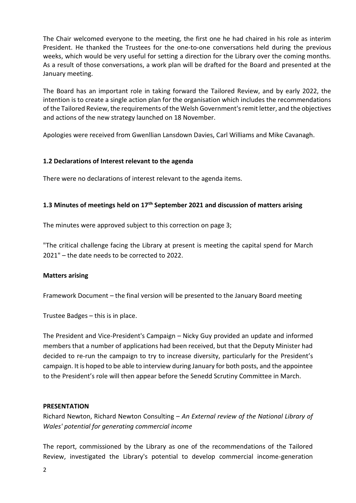The Chair welcomed everyone to the meeting, the first one he had chaired in his role as interim President. He thanked the Trustees for the one-to-one conversations held during the previous weeks, which would be very useful for setting a direction for the Library over the coming months. As a result of those conversations, a work plan will be drafted for the Board and presented at the January meeting.

The Board has an important role in taking forward the Tailored Review, and by early 2022, the intention is to create a single action plan for the organisation which includes the recommendations of the Tailored Review, the requirements of the Welsh Government's remit letter, and the objectives and actions of the new strategy launched on 18 November.

Apologies were received from Gwenllian Lansdown Davies, Carl Williams and Mike Cavanagh.

#### **1.2 Declarations of Interest relevant to the agenda**

There were no declarations of interest relevant to the agenda items.

#### **1.3 Minutes of meetings held on 17ᵗʰ September 2021 and discussion of matters arising**

The minutes were approved subject to this correction on page 3;

"The critical challenge facing the Library at present is meeting the capital spend for March 2021" – the date needs to be corrected to 2022.

#### **Matters arising**

Framework Document – the final version will be presented to the January Board meeting

Trustee Badges – this is in place.

The President and Vice-President's Campaign – Nicky Guy provided an update and informed members that a number of applications had been received, but that the Deputy Minister had decided to re-run the campaign to try to increase diversity, particularly for the President's campaign. It is hoped to be able to interview during January for both posts, and the appointee to the President's role will then appear before the Senedd Scrutiny Committee in March.

#### **PRESENTATION**

Richard Newton, Richard Newton Consulting – *An External review of the National Library of Wales' potential for generating commercial income*

The report, commissioned by the Library as one of the recommendations of the Tailored Review, investigated the Library's potential to develop commercial income-generation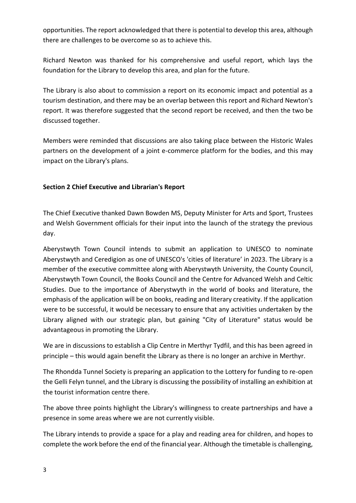opportunities. The report acknowledged that there is potential to develop this area, although there are challenges to be overcome so as to achieve this.

Richard Newton was thanked for his comprehensive and useful report, which lays the foundation for the Library to develop this area, and plan for the future.

The Library is also about to commission a report on its economic impact and potential as a tourism destination, and there may be an overlap between this report and Richard Newton's report. It was therefore suggested that the second report be received, and then the two be discussed together.

Members were reminded that discussions are also taking place between the Historic Wales partners on the development of a joint e-commerce platform for the bodies, and this may impact on the Library's plans.

## **Section 2 Chief Executive and Librarian's Report**

The Chief Executive thanked Dawn Bowden MS, Deputy Minister for Arts and Sport, Trustees and Welsh Government officials for their input into the launch of the strategy the previous day.

Aberystwyth Town Council intends to submit an application to UNESCO to nominate Aberystwyth and Ceredigion as one of UNESCO's 'cities of literature' in 2023. The Library is a member of the executive committee along with Aberystwyth University, the County Council, Aberystwyth Town Council, the Books Council and the Centre for Advanced Welsh and Celtic Studies. Due to the importance of Aberystwyth in the world of books and literature, the emphasis of the application will be on books, reading and literary creativity. If the application were to be successful, it would be necessary to ensure that any activities undertaken by the Library aligned with our strategic plan, but gaining "City of Literature" status would be advantageous in promoting the Library.

We are in discussions to establish a Clip Centre in Merthyr Tydfil, and this has been agreed in principle – this would again benefit the Library as there is no longer an archive in Merthyr.

The Rhondda Tunnel Society is preparing an application to the Lottery for funding to re-open the Gelli Felyn tunnel, and the Library is discussing the possibility of installing an exhibition at the tourist information centre there.

The above three points highlight the Library's willingness to create partnerships and have a presence in some areas where we are not currently visible.

The Library intends to provide a space for a play and reading area for children, and hopes to complete the work before the end of the financial year. Although the timetable is challenging,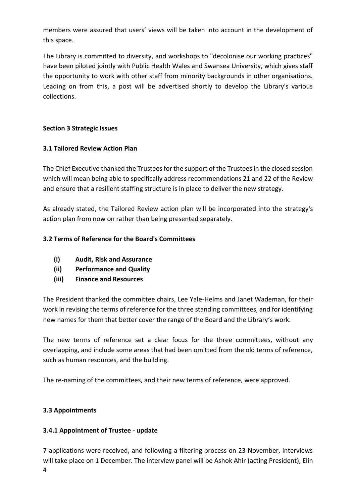members were assured that users' views will be taken into account in the development of this space.

The Library is committed to diversity, and workshops to "decolonise our working practices" have been piloted jointly with Public Health Wales and Swansea University, which gives staff the opportunity to work with other staff from minority backgrounds in other organisations. Leading on from this, a post will be advertised shortly to develop the Library's various collections.

# **Section 3 Strategic Issues**

# **3.1 Tailored Review Action Plan**

The Chief Executive thanked the Trustees for the support of the Trustees in the closed session which will mean being able to specifically address recommendations 21 and 22 of the Review and ensure that a resilient staffing structure is in place to deliver the new strategy.

As already stated, the Tailored Review action plan will be incorporated into the strategy's action plan from now on rather than being presented separately.

# **3.2 Terms of Reference for the Board's Committees**

- **(i) Audit, Risk and Assurance**
- **(ii) Performance and Quality**
- **(iii) Finance and Resources**

The President thanked the committee chairs, Lee Yale-Helms and Janet Wademan, for their work in revising the terms of reference for the three standing committees, and for identifying new names for them that better cover the range of the Board and the Library's work.

The new terms of reference set a clear focus for the three committees, without any overlapping, and include some areas that had been omitted from the old terms of reference, such as human resources, and the building.

The re-naming of the committees, and their new terms of reference, were approved.

# **3.3 Appointments**

# **3.4.1 Appointment of Trustee - update**

4 7 applications were received, and following a filtering process on 23 November, interviews will take place on 1 December. The interview panel will be Ashok Ahir (acting President), Elin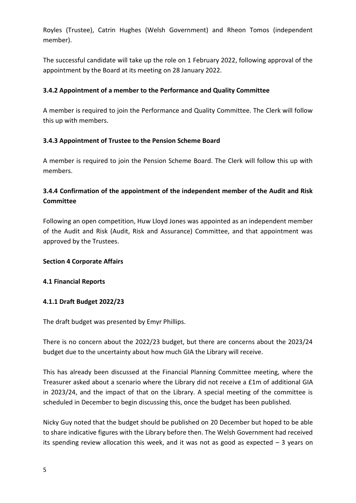Royles (Trustee), Catrin Hughes (Welsh Government) and Rheon Tomos (independent member).

The successful candidate will take up the role on 1 February 2022, following approval of the appointment by the Board at its meeting on 28 January 2022.

# **3.4.2 Appointment of a member to the Performance and Quality Committee**

A member is required to join the Performance and Quality Committee. The Clerk will follow this up with members.

# **3.4.3 Appointment of Trustee to the Pension Scheme Board**

A member is required to join the Pension Scheme Board. The Clerk will follow this up with members.

# **3.4.4 Confirmation of the appointment of the independent member of the Audit and Risk Committee**

Following an open competition, Huw Lloyd Jones was appointed as an independent member of the Audit and Risk (Audit, Risk and Assurance) Committee, and that appointment was approved by the Trustees.

## **Section 4 Corporate Affairs**

## **4.1 Financial Reports**

## **4.1.1 Draft Budget 2022/23**

The draft budget was presented by Emyr Phillips.

There is no concern about the 2022/23 budget, but there are concerns about the 2023/24 budget due to the uncertainty about how much GIA the Library will receive.

This has already been discussed at the Financial Planning Committee meeting, where the Treasurer asked about a scenario where the Library did not receive a £1m of additional GIA in 2023/24, and the impact of that on the Library. A special meeting of the committee is scheduled in December to begin discussing this, once the budget has been published.

Nicky Guy noted that the budget should be published on 20 December but hoped to be able to share indicative figures with the Library before then. The Welsh Government had received its spending review allocation this week, and it was not as good as expected  $-3$  years on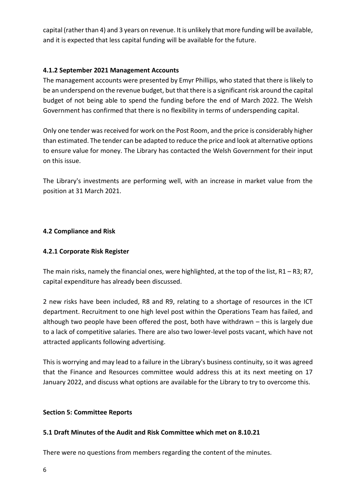capital (rather than 4) and 3 years on revenue. It is unlikely that more funding will be available, and it is expected that less capital funding will be available for the future.

# **4.1.2 September 2021 Management Accounts**

The management accounts were presented by Emyr Phillips, who stated that there is likely to be an underspend on the revenue budget, but that there is a significant risk around the capital budget of not being able to spend the funding before the end of March 2022. The Welsh Government has confirmed that there is no flexibility in terms of underspending capital.

Only one tender was received for work on the Post Room, and the price is considerably higher than estimated. The tender can be adapted to reduce the price and look at alternative options to ensure value for money. The Library has contacted the Welsh Government for their input on this issue.

The Library's investments are performing well, with an increase in market value from the position at 31 March 2021.

# **4.2 Compliance and Risk**

## **4.2.1 Corporate Risk Register**

The main risks, namely the financial ones, were highlighted, at the top of the list, R1 – R3; R7, capital expenditure has already been discussed.

2 new risks have been included, R8 and R9, relating to a shortage of resources in the ICT department. Recruitment to one high level post within the Operations Team has failed, and although two people have been offered the post, both have withdrawn – this is largely due to a lack of competitive salaries. There are also two lower-level posts vacant, which have not attracted applicants following advertising.

This is worrying and may lead to a failure in the Library's business continuity, so it was agreed that the Finance and Resources committee would address this at its next meeting on 17 January 2022, and discuss what options are available for the Library to try to overcome this.

## **Section 5: Committee Reports**

## **5.1 Draft Minutes of the Audit and Risk Committee which met on 8.10.21**

There were no questions from members regarding the content of the minutes.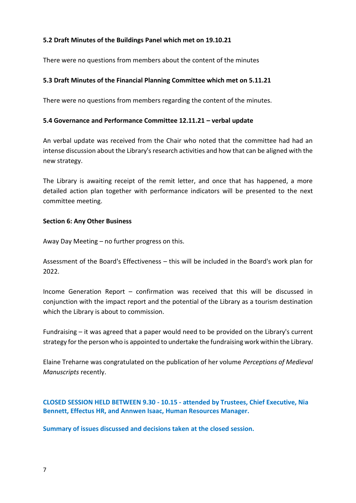## **5.2 Draft Minutes of the Buildings Panel which met on 19.10.21**

There were no questions from members about the content of the minutes

### **5.3 Draft Minutes of the Financial Planning Committee which met on 5.11.21**

There were no questions from members regarding the content of the minutes.

#### **5.4 Governance and Performance Committee 12.11.21 – verbal update**

An verbal update was received from the Chair who noted that the committee had had an intense discussion about the Library's research activities and how that can be aligned with the new strategy.

The Library is awaiting receipt of the remit letter, and once that has happened, a more detailed action plan together with performance indicators will be presented to the next committee meeting.

#### **Section 6: Any Other Business**

Away Day Meeting – no further progress on this.

Assessment of the Board's Effectiveness – this will be included in the Board's work plan for 2022.

Income Generation Report – confirmation was received that this will be discussed in conjunction with the impact report and the potential of the Library as a tourism destination which the Library is about to commission.

Fundraising – it was agreed that a paper would need to be provided on the Library's current strategy for the person who is appointed to undertake the fundraising work within the Library.

Elaine Treharne was congratulated on the publication of her volume *Perceptions of Medieval Manuscripts* recently.

**CLOSED SESSION HELD BETWEEN 9.30 - 10.15 - attended by Trustees, Chief Executive, Nia Bennett, Effectus HR, and Annwen Isaac, Human Resources Manager.**

**Summary of issues discussed and decisions taken at the closed session.**